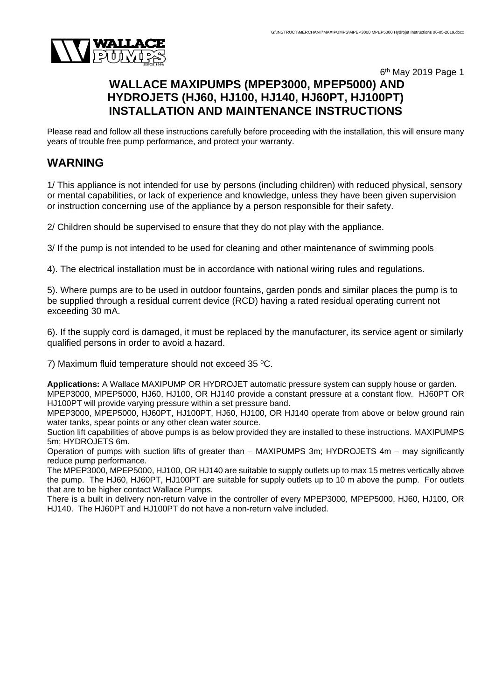

# 6th May 2019 Page 1 **WALLACE MAXIPUMPS (MPEP3000, MPEP5000) AND HYDROJETS (HJ60, HJ100, HJ140, HJ60PT, HJ100PT) INSTALLATION AND MAINTENANCE INSTRUCTIONS**

Please read and follow all these instructions carefully before proceeding with the installation, this will ensure many years of trouble free pump performance, and protect your warranty.

# **WARNING**

1/ This appliance is not intended for use by persons (including children) with reduced physical, sensory or mental capabilities, or lack of experience and knowledge, unless they have been given supervision or instruction concerning use of the appliance by a person responsible for their safety.

2/ Children should be supervised to ensure that they do not play with the appliance.

3/ If the pump is not intended to be used for cleaning and other maintenance of swimming pools

4). The electrical installation must be in accordance with national wiring rules and regulations.

5). Where pumps are to be used in outdoor fountains, garden ponds and similar places the pump is to be supplied through a residual current device (RCD) having a rated residual operating current not exceeding 30 mA.

6). If the supply cord is damaged, it must be replaced by the manufacturer, its service agent or similarly qualified persons in order to avoid a hazard.

7) Maximum fluid temperature should not exceed 35 0C.

**Applications:** A Wallace MAXIPUMP OR HYDROJET automatic pressure system can supply house or garden. MPEP3000, MPEP5000, HJ60, HJ100, OR HJ140 provide a constant pressure at a constant flow. HJ60PT OR HJ100PT will provide varying pressure within a set pressure band.

MPEP3000, MPEP5000, HJ60PT, HJ100PT, HJ60, HJ100, OR HJ140 operate from above or below ground rain water tanks, spear points or any other clean water source.

Suction lift capabilities of above pumps is as below provided they are installed to these instructions. MAXIPUMPS 5m; HYDROJETS 6m.

Operation of pumps with suction lifts of greater than – MAXIPUMPS 3m; HYDROJETS 4m – may significantly reduce pump performance.

The MPEP3000, MPEP5000, HJ100, OR HJ140 are suitable to supply outlets up to max 15 metres vertically above the pump. The HJ60, HJ60PT, HJ100PT are suitable for supply outlets up to 10 m above the pump. For outlets that are to be higher contact Wallace Pumps.

There is a built in delivery non-return valve in the controller of every MPEP3000, MPEP5000, HJ60, HJ100, OR HJ140. The HJ60PT and HJ100PT do not have a non-return valve included.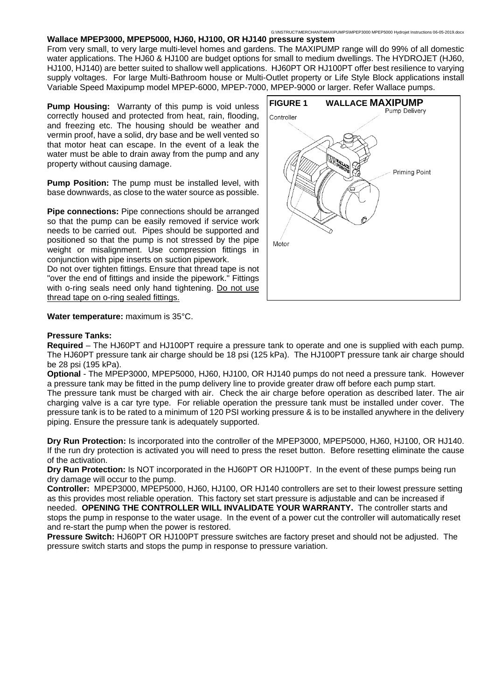From very small, to very large multi-level homes and gardens. The MAXIPUMP range will do 99% of all domestic water applications. The HJ60 & HJ100 are budget options for small to medium dwellings. The HYDROJET (HJ60, HJ100, HJ140) are better suited to shallow well applications. HJ60PT OR HJ100PT offer best resilience to varying supply voltages. For large Multi-Bathroom house or Multi-Outlet property or Life Style Block applications install Variable Speed Maxipump model MPEP-6000, MPEP-7000, MPEP-9000 or larger. Refer Wallace pumps.

**Pump Housing:** Warranty of this pump is void unless correctly housed and protected from heat, rain, flooding, and freezing etc. The housing should be weather and vermin proof, have a solid, dry base and be well vented so that motor heat can escape. In the event of a leak the water must be able to drain away from the pump and any property without causing damage.

**Pump Position:** The pump must be installed level, with base downwards, as close to the water source as possible.

**Pipe connections:** Pipe connections should be arranged so that the pump can be easily removed if service work needs to be carried out. Pipes should be supported and positioned so that the pump is not stressed by the pipe weight or misalignment. Use compression fittings in conjunction with pipe inserts on suction pipework.

Do not over tighten fittings. Ensure that thread tape is not "over the end of fittings and inside the pipework." Fittings with o-ring seals need only hand tightening. Do not use thread tape on o-ring sealed fittings.



#### **Water temperature:** maximum is 35°C.

#### **Pressure Tanks:**

**Required** – The HJ60PT and HJ100PT require a pressure tank to operate and one is supplied with each pump. The HJ60PT pressure tank air charge should be 18 psi (125 kPa). The HJ100PT pressure tank air charge should be 28 psi (195 kPa).

**Optional** - The MPEP3000, MPEP5000, HJ60, HJ100, OR HJ140 pumps do not need a pressure tank. However a pressure tank may be fitted in the pump delivery line to provide greater draw off before each pump start.

The pressure tank must be charged with air. Check the air charge before operation as described later. The air charging valve is a car tyre type. For reliable operation the pressure tank must be installed under cover. The pressure tank is to be rated to a minimum of 120 PSI working pressure & is to be installed anywhere in the delivery piping. Ensure the pressure tank is adequately supported.

**Dry Run Protection:** Is incorporated into the controller of the MPEP3000, MPEP5000, HJ60, HJ100, OR HJ140. If the run dry protection is activated you will need to press the reset button. Before resetting eliminate the cause of the activation.

**Dry Run Protection:** Is NOT incorporated in the HJ60PT OR HJ100PT. In the event of these pumps being run dry damage will occur to the pump.

**Controller:** MPEP3000, MPEP5000, HJ60, HJ100, OR HJ140 controllers are set to their lowest pressure setting as this provides most reliable operation. This factory set start pressure is adjustable and can be increased if needed. **OPENING THE CONTROLLER WILL INVALIDATE YOUR WARRANTY.** The controller starts and stops the pump in response to the water usage. In the event of a power cut the controller will automatically reset and re-start the pump when the power is restored.

**Pressure Switch:** HJ60PT OR HJ100PT pressure switches are factory preset and should not be adjusted. The pressure switch starts and stops the pump in response to pressure variation.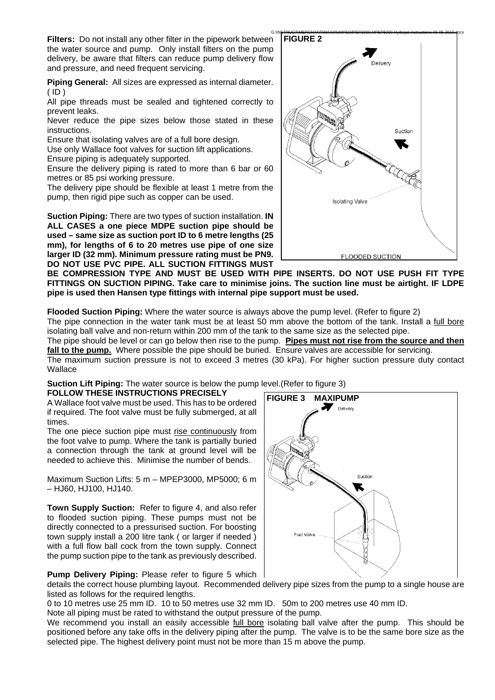**Filters:** Do not install any other filter in the pipework between the water source and pump. Only install filters on the pump delivery, be aware that filters can reduce pump delivery flow and pressure, and need frequent servicing.

**Piping General:** All sizes are expressed as internal diameter.  $(ID)$ 

All pipe threads must be sealed and tightened correctly to prevent leaks.

Never reduce the pipe sizes below those stated in these instructions.

Ensure that isolating valves are of a full bore design.

Use only Wallace foot valves for suction lift applications. Ensure piping is adequately supported.

Ensure the delivery piping is rated to more than 6 bar or 60

metres or 85 psi working pressure. The delivery pipe should be flexible at least 1 metre from the pump, then rigid pipe such as copper can be used.

**Suction Piping:** There are two types of suction installation. **IN ALL CASES a one piece MDPE suction pipe should be used – same size as suction port ID to 6 metre lengths (25 mm), for lengths of 6 to 20 metres use pipe of one size larger ID (32 mm). Minimum pressure rating must be PN9. DO NOT USE PVC PIPE. ALL SUCTION FITTINGS MUST** 

G:\INSTRUCT\MERCHANT\MAXIPUMPS\MPEP3000 MPEP5000 Hydrojet Instructions 06-05-2019.docx **FIGURE 2** Delivery Suction Isolating Valve FLOODED SUCTION

**BE COMPRESSION TYPE AND MUST BE USED WITH PIPE INSERTS. DO NOT USE PUSH FIT TYPE FITTINGS ON SUCTION PIPING. Take care to minimise joins. The suction line must be airtight. IF LDPE pipe is used then Hansen type fittings with internal pipe support must be used.**

**Flooded Suction Piping:** Where the water source is always above the pump level. (Refer to figure 2)

The pipe connection in the water tank must be at least 50 mm above the bottom of the tank. Install a full bore isolating ball valve and non-return within 200 mm of the tank to the same size as the selected pipe.

The pipe should be level or can go below then rise to the pump. **Pipes must not rise from the source and then fall to the pump.** Where possible the pipe should be buried. Ensure valves are accessible for servicing.

The maximum suction pressure is not to exceed 3 metres (30 kPa). For higher suction pressure duty contact Wallace

**Suction Lift Piping:** The water source is below the pump level.(Refer to figure 3)

**FOLLOW THESE INSTRUCTIONS PRECISELY** 

A Wallace foot valve must be used. This has to be ordered if required. The foot valve must be fully submerged, at all times.

The one piece suction pipe must rise continuously from the foot valve to pump. Where the tank is partially buried a connection through the tank at ground level will be needed to achieve this. Minimise the number of bends.

Maximum Suction Lifts: 5 m – MPEP3000, MP5000; 6 m – HJ60, HJ100, HJ140.

**Town Supply Suction:** Refer to figure 4, and also refer to flooded suction piping. These pumps must not be directly connected to a pressurised suction. For boosting town supply install a 200 litre tank ( or larger if needed ) with a full flow ball cock from the town supply. Connect the pump suction pipe to the tank as previously described.



**Pump Delivery Piping:** Please refer to figure 5 which

details the correct house plumbing layout. Recommended delivery pipe sizes from the pump to a single house are listed as follows for the required lengths.

0 to 10 metres use 25 mm ID. 10 to 50 metres use 32 mm ID. 50m to 200 metres use 40 mm ID.

Note all piping must be rated to withstand the output pressure of the pump.

We recommend you install an easily accessible full bore isolating ball valve after the pump. This should be positioned before any take offs in the delivery piping after the pump. The valve is to be the same bore size as the selected pipe. The highest delivery point must not be more than 15 m above the pump.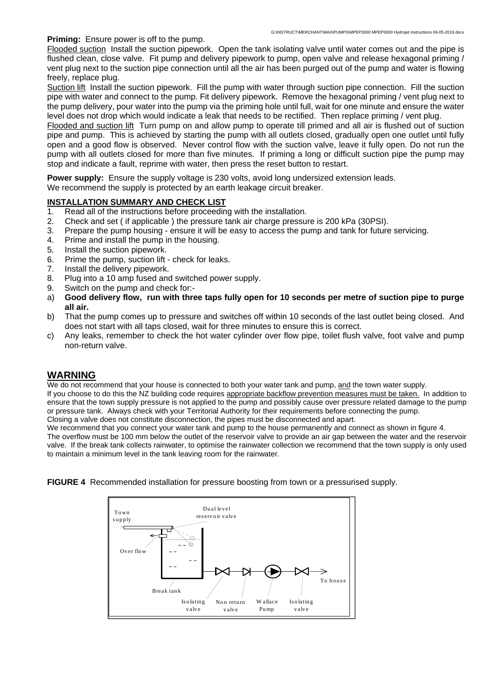#### **Priming:** Ensure power is off to the pump.

Flooded suction Install the suction pipework. Open the tank isolating valve until water comes out and the pipe is flushed clean, close valve. Fit pump and delivery pipework to pump, open valve and release hexagonal priming / vent plug next to the suction pipe connection until all the air has been purged out of the pump and water is flowing freely, replace plug.

Suction lift Install the suction pipework. Fill the pump with water through suction pipe connection. Fill the suction pipe with water and connect to the pump. Fit delivery pipework. Remove the hexagonal priming / vent plug next to the pump delivery, pour water into the pump via the priming hole until full, wait for one minute and ensure the water level does not drop which would indicate a leak that needs to be rectified. Then replace priming / vent plug.

Flooded and suction lift Turn pump on and allow pump to operate till primed and all air is flushed out of suction pipe and pump. This is achieved by starting the pump with all outlets closed, gradually open one outlet until fully open and a good flow is observed. Never control flow with the suction valve, leave it fully open. Do not run the pump with all outlets closed for more than five minutes. If priming a long or difficult suction pipe the pump may stop and indicate a fault, reprime with water, then press the reset button to restart.

**Power supply:** Ensure the supply voltage is 230 volts, avoid long undersized extension leads.

We recommend the supply is protected by an earth leakage circuit breaker.

# **INSTALLATION SUMMARY AND CHECK LIST**

- 1. Read all of the instructions before proceeding with the installation.
- 2. Check and set ( if applicable ) the pressure tank air charge pressure is 200 kPa (30PSI).
- 3. Prepare the pump housing ensure it will be easy to access the pump and tank for future servicing.
- 4. Prime and install the pump in the housing.
- 5. Install the suction pipework.
- 6. Prime the pump, suction lift check for leaks.
- 7. Install the delivery pipework.
- 8. Plug into a 10 amp fused and switched power supply.
- 9. Switch on the pump and check for:-
- a) **Good delivery flow, run with three taps fully open for 10 seconds per metre of suction pipe to purge all air.**
- b) That the pump comes up to pressure and switches off within 10 seconds of the last outlet being closed. And does not start with all taps closed, wait for three minutes to ensure this is correct.
- c) Any leaks, remember to check the hot water cylinder over flow pipe, toilet flush valve, foot valve and pump non-return valve.

# **WARNING**

We do not recommend that your house is connected to both your water tank and pump, and the town water supply.

If you choose to do this the NZ building code requires appropriate backflow prevention measures must be taken. In addition to ensure that the town supply pressure is not applied to the pump and possibly cause over pressure related damage to the pump or pressure tank. Always check with your Territorial Authority for their requirements before connecting the pump. Closing a valve does not constitute disconnection, the pipes must be disconnected and apart.

We recommend that you connect your water tank and pump to the house permanently and connect as shown in figure 4.

The overflow must be 100 mm below the outlet of the reservoir valve to provide an air gap between the water and the reservoir valve. If the break tank collects rainwater, to optimise the rainwater collection we recommend that the town supply is only used to maintain a minimum level in the tank leaving room for the rainwater.



#### **FIGURE 4** Recommended installation for pressure boosting from town or a pressurised supply.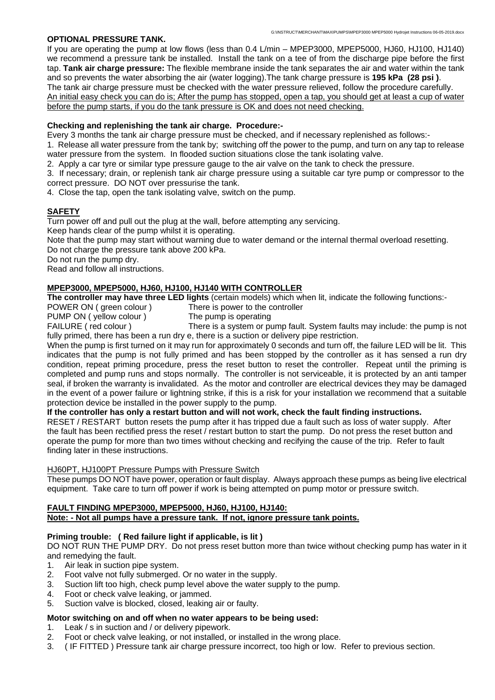### **OPTIONAL PRESSURE TANK.**

If you are operating the pump at low flows (less than 0.4 L/min – MPEP3000, MPEP5000, HJ60, HJ100, HJ140) we recommend a pressure tank be installed. Install the tank on a tee of from the discharge pipe before the first tap. **Tank air charge pressure:** The flexible membrane inside the tank separates the air and water within the tank and so prevents the water absorbing the air (water logging).The tank charge pressure is **195 kPa (28 psi )**. The tank air charge pressure must be checked with the water pressure relieved, follow the procedure carefully. An initial easy check you can do is; After the pump has stopped, open a tap, you should get at least a cup of water before the pump starts, if you do the tank pressure is OK and does not need checking.

# **Checking and replenishing the tank air charge. Procedure:-**

Every 3 months the tank air charge pressure must be checked, and if necessary replenished as follows:-

1. Release all water pressure from the tank by; switching off the power to the pump, and turn on any tap to release water pressure from the system. In flooded suction situations close the tank isolating valve.

2. Apply a car tyre or similar type pressure gauge to the air valve on the tank to check the pressure.

3. If necessary; drain, or replenish tank air charge pressure using a suitable car tyre pump or compressor to the correct pressure. DO NOT over pressurise the tank.

4. Close the tap, open the tank isolating valve, switch on the pump.

# **SAFETY**

Turn power off and pull out the plug at the wall, before attempting any servicing.

Keep hands clear of the pump whilst it is operating.

Note that the pump may start without warning due to water demand or the internal thermal overload resetting. Do not charge the pressure tank above 200 kPa.

Do not run the pump dry.

Read and follow all instructions.

### **MPEP3000, MPEP5000, HJ60, HJ100, HJ140 WITH CONTROLLER**

**The controller may have three LED lights** (certain models) which when lit, indicate the following functions:-

POWER ON (green colour ) There is power to the controller

PUMP ON ( yellow colour ) The pump is operating

FAILURE (red colour ) There is a system or pump fault. System faults may include: the pump is not fully primed, there has been a run dry e, there is a suction or delivery pipe restriction.

When the pump is first turned on it may run for approximately 0 seconds and turn off, the failure LED will be lit. This indicates that the pump is not fully primed and has been stopped by the controller as it has sensed a run dry condition, repeat priming procedure, press the reset button to reset the controller. Repeat until the priming is completed and pump runs and stops normally. The controller is not serviceable, it is protected by an anti tamper seal, if broken the warranty is invalidated. As the motor and controller are electrical devices they may be damaged in the event of a power failure or lightning strike, if this is a risk for your installation we recommend that a suitable protection device be installed in the power supply to the pump.

# **If the controller has only a restart button and will not work, check the fault finding instructions.**

RESET / RESTART button resets the pump after it has tripped due a fault such as loss of water supply. After the fault has been rectified press the reset / restart button to start the pump. Do not press the reset button and operate the pump for more than two times without checking and recifying the cause of the trip. Refer to fault finding later in these instructions.

#### HJ60PT, HJ100PT Pressure Pumps with Pressure Switch

These pumps DO NOT have power, operation or fault display. Always approach these pumps as being live electrical equipment. Take care to turn off power if work is being attempted on pump motor or pressure switch.

#### **FAULT FINDING MPEP3000, MPEP5000, HJ60, HJ100, HJ140: Note: - Not all pumps have a pressure tank. If not, ignore pressure tank points.**

# **Priming trouble: ( Red failure light if applicable, is lit )**

DO NOT RUN THE PUMP DRY. Do not press reset button more than twice without checking pump has water in it and remedying the fault.

- 1. Air leak in suction pipe system.
- 2. Foot valve not fully submerged. Or no water in the supply.
- 3. Suction lift too high, check pump level above the water supply to the pump.
- 4. Foot or check valve leaking, or jammed.
- 5. Suction valve is blocked, closed, leaking air or faulty.

# **Motor switching on and off when no water appears to be being used:**

- 1. Leak / s in suction and / or delivery pipework.
- 2. Foot or check valve leaking, or not installed, or installed in the wrong place.
- 3. ( IF FITTED ) Pressure tank air charge pressure incorrect, too high or low. Refer to previous section.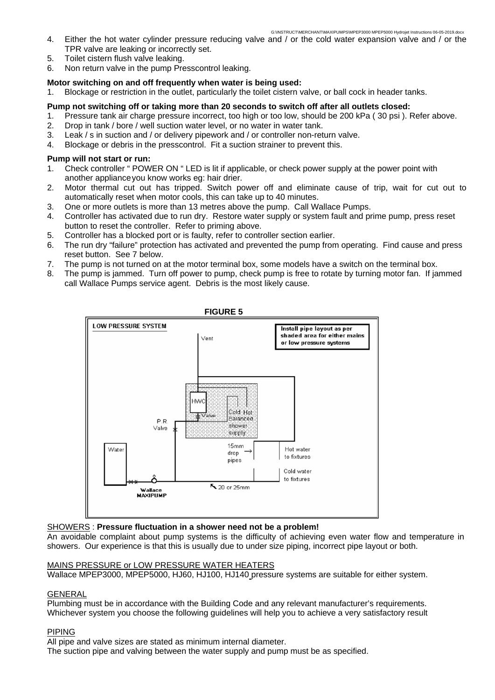- 4. Either the hot water cylinder pressure reducing valve and / or the cold water expansion valve and / or the TPR valve are leaking or incorrectly set.
- 5. Toilet cistern flush valve leaking.
- 6. Non return valve in the pump Presscontrol leaking.

### **Motor switching on and off frequently when water is being used:**

1. Blockage or restriction in the outlet, particularly the toilet cistern valve, or ball cock in header tanks.

### **Pump not switching off or taking more than 20 seconds to switch off after all outlets closed:**

- 1. Pressure tank air charge pressure incorrect, too high or too low, should be 200 kPa ( 30 psi ). Refer above.
- 2. Drop in tank / bore / well suction water level, or no water in water tank.
- 3. Leak / s in suction and / or delivery pipework and / or controller non-return valve.
- 4. Blockage or debris in the presscontrol. Fit a suction strainer to prevent this.

### **Pump will not start or run:**

- 1. Check controller " POWER ON " LED is lit if applicable, or check power supply at the power point with another appliance you know works eg: hair drier.
- 2. Motor thermal cut out has tripped. Switch power off and eliminate cause of trip, wait for cut out to automatically reset when motor cools, this can take up to 40 minutes.
- 3. One or more outlets is more than 13 metres above the pump. Call Wallace Pumps.
- 4. Controller has activated due to run dry. Restore water supply or system fault and prime pump, press reset button to reset the controller. Refer to priming above.
- 5. Controller has a blocked port or is faulty, refer to controller section earlier.
- 6. The run dry "failure" protection has activated and prevented the pump from operating. Find cause and press reset button. See 7 below.
- 7. The pump is not turned on at the motor terminal box, some models have a switch on the terminal box.
- 8. The pump is jammed. Turn off power to pump, check pump is free to rotate by turning motor fan. If jammed call Wallace Pumps service agent. Debris is the most likely cause.



#### SHOWERS : **Pressure fluctuation in a shower need not be a problem!**

An avoidable complaint about pump systems is the difficulty of achieving even water flow and temperature in showers. Our experience is that this is usually due to under size piping, incorrect pipe layout or both.

# MAINS PRESSURE or LOW PRESSURE WATER HEATERS

Wallace MPEP3000, MPEP5000, HJ60, HJ100, HJ140 pressure systems are suitable for either system.

#### GENERAL

Plumbing must be in accordance with the Building Code and any relevant manufacturer's requirements. Whichever system you choose the following guidelines will help you to achieve a very satisfactory result

# PIPING

All pipe and valve sizes are stated as minimum internal diameter.

The suction pipe and valving between the water supply and pump must be as specified.